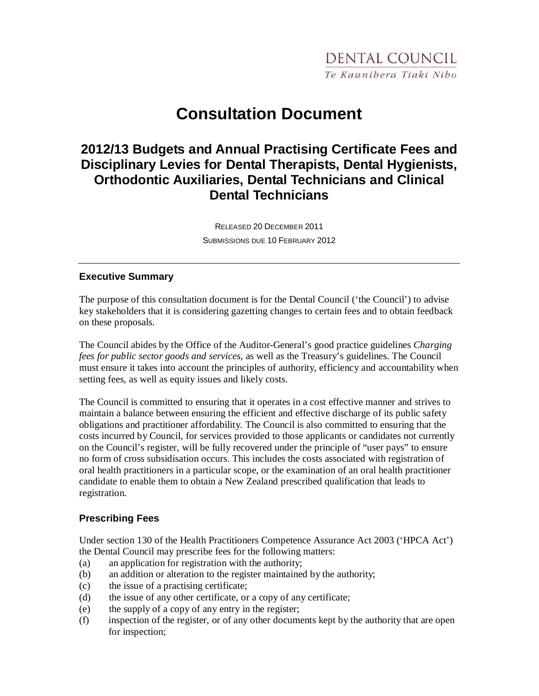# **Consultation Document**

# **2012/13 Budgets and Annual Practising Certificate Fees and Disciplinary Levies for Dental Therapists, Dental Hygienists, Orthodontic Auxiliaries, Dental Technicians and Clinical Dental Technicians**

RELEASED 20 DECEMBER 2011 SUBMISSIONS DUE 10 FEBRUARY 2012

#### **Executive Summary**

The purpose of this consultation document is for the Dental Council ('the Council') to advise key stakeholders that it is considering gazetting changes to certain fees and to obtain feedback on these proposals.

The Council abides by the Office of the Auditor-General's good practice guidelines *Charging fees for public sector goods and services*, as well as the Treasury's guidelines. The Council must ensure it takes into account the principles of authority, efficiency and accountability when setting fees, as well as equity issues and likely costs.

The Council is committed to ensuring that it operates in a cost effective manner and strives to maintain a balance between ensuring the efficient and effective discharge of its public safety obligations and practitioner affordability. The Council is also committed to ensuring that the costs incurred by Council, for services provided to those applicants or candidates not currently on the Council's register, will be fully recovered under the principle of "user pays" to ensure no form of cross subsidisation occurs. This includes the costs associated with registration of oral health practitioners in a particular scope, or the examination of an oral health practitioner candidate to enable them to obtain a New Zealand prescribed qualification that leads to registration.

#### **Prescribing Fees**

Under section 130 of the Health Practitioners Competence Assurance Act 2003 ('HPCA Act') the Dental Council may prescribe fees for the following matters:

- (a) an application for registration with the authority;
- (b) an addition or alteration to the register maintained by the authority;
- (c) the issue of a practising certificate;
- (d) the issue of any other certificate, or a copy of any certificate;
- (e) the supply of a copy of any entry in the register;
- (f) inspection of the register, or of any other documents kept by the authority that are open for inspection;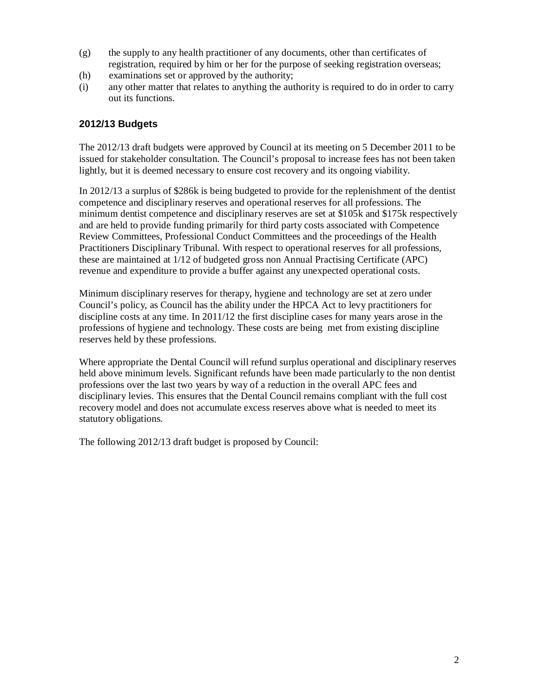- (g) the supply to any health practitioner of any documents, other than certificates of registration, required by him or her for the purpose of seeking registration overseas;
- (h) examinations set or approved by the authority;
- (i) any other matter that relates to anything the authority is required to do in order to carry out its functions.

# **2012/13 Budgets**

The 2012/13 draft budgets were approved by Council at its meeting on 5 December 2011 to be issued for stakeholder consultation. The Council's proposal to increase fees has not been taken lightly, but it is deemed necessary to ensure cost recovery and its ongoing viability.

In 2012/13 a surplus of \$286k is being budgeted to provide for the replenishment of the dentist competence and disciplinary reserves and operational reserves for all professions. The minimum dentist competence and disciplinary reserves are set at \$105k and \$175k respectively and are held to provide funding primarily for third party costs associated with Competence Review Committees, Professional Conduct Committees and the proceedings of the Health Practitioners Disciplinary Tribunal. With respect to operational reserves for all professions, these are maintained at 1/12 of budgeted gross non Annual Practising Certificate (APC) revenue and expenditure to provide a buffer against any unexpected operational costs.

Minimum disciplinary reserves for therapy, hygiene and technology are set at zero under Council's policy, as Council has the ability under the HPCA Act to levy practitioners for discipline costs at any time. In 2011/12 the first discipline cases for many years arose in the professions of hygiene and technology. These costs are being met from existing discipline reserves held by these professions.

Where appropriate the Dental Council will refund surplus operational and disciplinary reserves held above minimum levels. Significant refunds have been made particularly to the non dentist professions over the last two years by way of a reduction in the overall APC fees and disciplinary levies. This ensures that the Dental Council remains compliant with the full cost recovery model and does not accumulate excess reserves above what is needed to meet its statutory obligations.

The following 2012/13 draft budget is proposed by Council: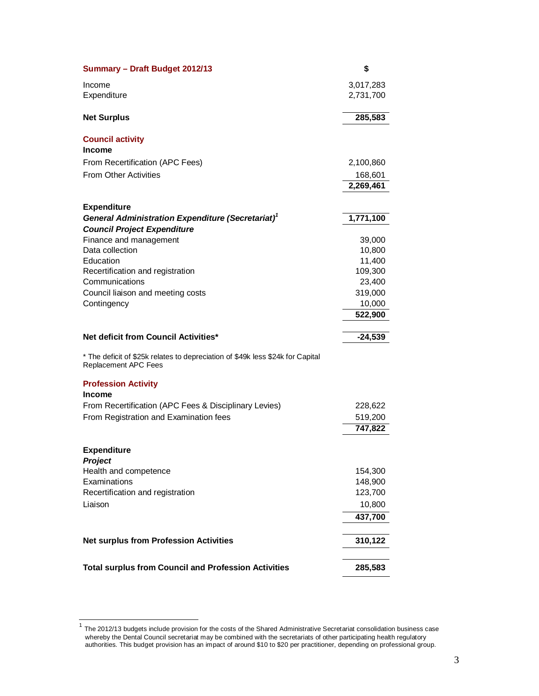| Summary - Draft Budget 2012/13                                                                         | \$                   |
|--------------------------------------------------------------------------------------------------------|----------------------|
| Income                                                                                                 | 3,017,283            |
| Expenditure                                                                                            | 2,731,700            |
| <b>Net Surplus</b>                                                                                     | 285,583              |
| <b>Council activity</b>                                                                                |                      |
| <b>Income</b>                                                                                          |                      |
| From Recertification (APC Fees)                                                                        | 2,100,860            |
| <b>From Other Activities</b>                                                                           | 168,601<br>2,269,461 |
|                                                                                                        |                      |
| <b>Expenditure</b><br>General Administration Expenditure (Secretariat) <sup>7</sup>                    | 1,771,100            |
| <b>Council Project Expenditure</b>                                                                     |                      |
| Finance and management                                                                                 | 39,000               |
| Data collection                                                                                        | 10,800               |
| Education                                                                                              | 11,400               |
| Recertification and registration                                                                       | 109,300              |
| Communications                                                                                         | 23,400               |
| Council liaison and meeting costs                                                                      | 319,000              |
| Contingency                                                                                            | 10,000<br>522,900    |
|                                                                                                        |                      |
| Net deficit from Council Activities*                                                                   | $-24,539$            |
| * The deficit of \$25k relates to depreciation of \$49k less \$24k for Capital<br>Replacement APC Fees |                      |
| <b>Profession Activity</b><br><b>Income</b>                                                            |                      |
| From Recertification (APC Fees & Disciplinary Levies)                                                  | 228,622              |
| From Registration and Examination fees                                                                 | 519,200              |
|                                                                                                        | 747,822              |
| <b>Expenditure</b>                                                                                     |                      |
| Project                                                                                                |                      |
| Health and competence                                                                                  | 154,300              |
| Examinations<br>Recertification and registration                                                       | 148,900              |
| Liaison                                                                                                | 123,700<br>10,800    |
|                                                                                                        |                      |
|                                                                                                        | 437,700              |
| <b>Net surplus from Profession Activities</b>                                                          | 310,122              |
|                                                                                                        |                      |
| <b>Total surplus from Council and Profession Activities</b>                                            | 285,583              |

 1 The 2012/13 budgets include provision for the costs of the Shared Administrative Secretariat consolidation business case whereby the Dental Council secretariat may be combined with the secretariats of other participating health regulatory authorities. This budget provision has an impact of around \$10 to \$20 per practitioner, depending on professional group.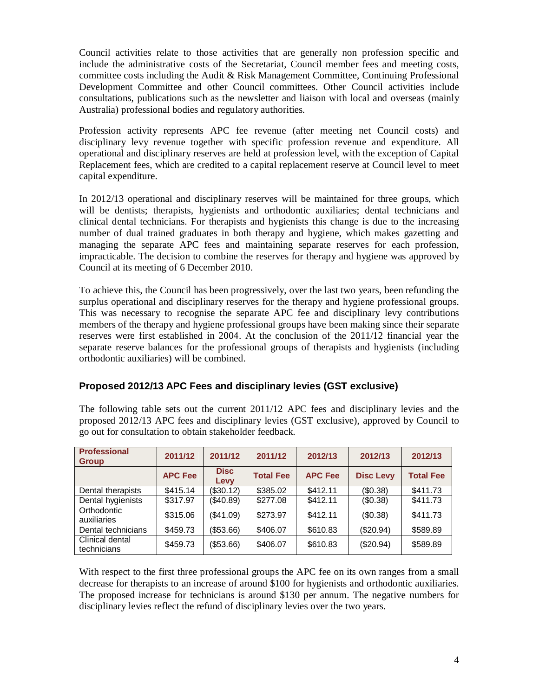Council activities relate to those activities that are generally non profession specific and include the administrative costs of the Secretariat, Council member fees and meeting costs, committee costs including the Audit  $\&$  Risk Management Committee, Continuing Professional Development Committee and other Council committees. Other Council activities include consultations, publications such as the newsletter and liaison with local and overseas (mainly Australia) professional bodies and regulatory authorities.

Profession activity represents APC fee revenue (after meeting net Council costs) and disciplinary levy revenue together with specific profession revenue and expenditure. All operational and disciplinary reserves are held at profession level, with the exception of Capital Replacement fees, which are credited to a capital replacement reserve at Council level to meet capital expenditure.

In 2012/13 operational and disciplinary reserves will be maintained for three groups, which will be dentists; therapists, hygienists and orthodontic auxiliaries; dental technicians and clinical dental technicians. For therapists and hygienists this change is due to the increasing number of dual trained graduates in both therapy and hygiene, which makes gazetting and managing the separate APC fees and maintaining separate reserves for each profession, impracticable. The decision to combine the reserves for therapy and hygiene was approved by Council at its meeting of 6 December 2010.

To achieve this, the Council has been progressively, over the last two years, been refunding the surplus operational and disciplinary reserves for the therapy and hygiene professional groups. This was necessary to recognise the separate APC fee and disciplinary levy contributions members of the therapy and hygiene professional groups have been making since their separate reserves were first established in 2004. At the conclusion of the 2011/12 financial year the separate reserve balances for the professional groups of therapists and hygienists (including orthodontic auxiliaries) will be combined.

# **Proposed 2012/13 APC Fees and disciplinary levies (GST exclusive)**

The following table sets out the current 2011/12 APC fees and disciplinary levies and the proposed 2012/13 APC fees and disciplinary levies (GST exclusive), approved by Council to go out for consultation to obtain stakeholder feedback.

| <b>Professional</b><br><b>Group</b> | 2011/12        | 2011/12             | 2011/12          | 2012/13        | 2012/13          | 2012/13          |
|-------------------------------------|----------------|---------------------|------------------|----------------|------------------|------------------|
|                                     | <b>APC Fee</b> | <b>Disc</b><br>Levy | <b>Total Fee</b> | <b>APC Fee</b> | <b>Disc Levy</b> | <b>Total Fee</b> |
| Dental therapists                   | \$415.14       | (\$30.12)           | \$385.02         | \$412.11       | (\$0.38)         | \$411.73         |
| Dental hygienists                   | \$317.97       | (\$40.89)           | \$277.08         | \$412.11       | (\$0.38)         | \$411.73         |
| Orthodontic<br>auxiliaries          | \$315.06       | (\$41.09)           | \$273.97         | \$412.11       | (\$0.38)         | \$411.73         |
| Dental technicians                  | \$459.73       | (\$53.66)           | \$406.07         | \$610.83       | (\$20.94)        | \$589.89         |
| Clinical dental<br>technicians      | \$459.73       | (\$53.66)           | \$406.07         | \$610.83       | (\$20.94)        | \$589.89         |

With respect to the first three professional groups the APC fee on its own ranges from a small decrease for therapists to an increase of around \$100 for hygienists and orthodontic auxiliaries. The proposed increase for technicians is around \$130 per annum. The negative numbers for disciplinary levies reflect the refund of disciplinary levies over the two years.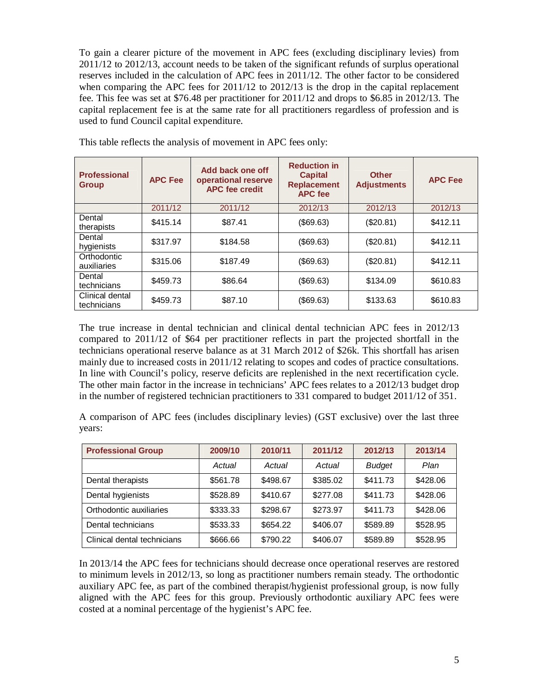To gain a clearer picture of the movement in APC fees (excluding disciplinary levies) from 2011/12 to 2012/13, account needs to be taken of the significant refunds of surplus operational reserves included in the calculation of APC fees in 2011/12. The other factor to be considered when comparing the APC fees for 2011/12 to 2012/13 is the drop in the capital replacement fee. This fee was set at \$76.48 per practitioner for 2011/12 and drops to \$6.85 in 2012/13. The capital replacement fee is at the same rate for all practitioners regardless of profession and is used to fund Council capital expenditure.

| <b>Professional</b><br><b>Group</b> | <b>APC Fee</b> | Add back one off<br>operational reserve<br><b>APC fee credit</b> | <b>Reduction in</b><br><b>Capital</b><br><b>Replacement</b><br><b>APC</b> fee | <b>Other</b><br><b>Adjustments</b> | <b>APC Fee</b> |
|-------------------------------------|----------------|------------------------------------------------------------------|-------------------------------------------------------------------------------|------------------------------------|----------------|
|                                     | 2011/12        | 2011/12                                                          | 2012/13                                                                       | 2012/13                            | 2012/13        |
| Dental<br>therapists                | \$415.14       | \$87.41                                                          | (\$69.63)                                                                     | (\$20.81)                          | \$412.11       |
| Dental<br>hygienists                | \$317.97       | \$184.58                                                         | (\$69.63)                                                                     | (\$20.81)                          | \$412.11       |
| Orthodontic<br>auxiliaries          | \$315.06       | \$187.49                                                         | (\$69.63)                                                                     | (\$20.81)                          | \$412.11       |
| Dental<br>technicians               | \$459.73       | \$86.64                                                          | (\$69.63)                                                                     | \$134.09                           | \$610.83       |
| Clinical dental<br>technicians      | \$459.73       | \$87.10                                                          | (\$69.63)                                                                     | \$133.63                           | \$610.83       |

This table reflects the analysis of movement in APC fees only:

The true increase in dental technician and clinical dental technician APC fees in 2012/13 compared to 2011/12 of \$64 per practitioner reflects in part the projected shortfall in the technicians operational reserve balance as at 31 March 2012 of \$26k. This shortfall has arisen mainly due to increased costs in 2011/12 relating to scopes and codes of practice consultations. In line with Council's policy, reserve deficits are replenished in the next recertification cycle. The other main factor in the increase in technicians' APC fees relates to a 2012/13 budget drop in the number of registered technician practitioners to 331 compared to budget 2011/12 of 351.

A comparison of APC fees (includes disciplinary levies) (GST exclusive) over the last three years:

| <b>Professional Group</b>   | 2009/10  | 2010/11  | 2011/12  | 2012/13       | 2013/14  |
|-----------------------------|----------|----------|----------|---------------|----------|
|                             | Actual   | Actual   | Actual   | <b>Budget</b> | Plan     |
| Dental therapists           | \$561.78 | \$498.67 | \$385.02 | \$411.73      | \$428.06 |
| Dental hygienists           | \$528.89 | \$410.67 | \$277.08 | \$411.73      | \$428.06 |
| Orthodontic auxiliaries     | \$333.33 | \$298.67 | \$273.97 | \$411.73      | \$428.06 |
| Dental technicians          | \$533.33 | \$654.22 | \$406.07 | \$589.89      | \$528.95 |
| Clinical dental technicians | \$666.66 | \$790.22 | \$406.07 | \$589.89      | \$528.95 |

In 2013/14 the APC fees for technicians should decrease once operational reserves are restored to minimum levels in 2012/13, so long as practitioner numbers remain steady. The orthodontic auxiliary APC fee, as part of the combined therapist/hygienist professional group, is now fully aligned with the APC fees for this group. Previously orthodontic auxiliary APC fees were costed at a nominal percentage of the hygienist's APC fee.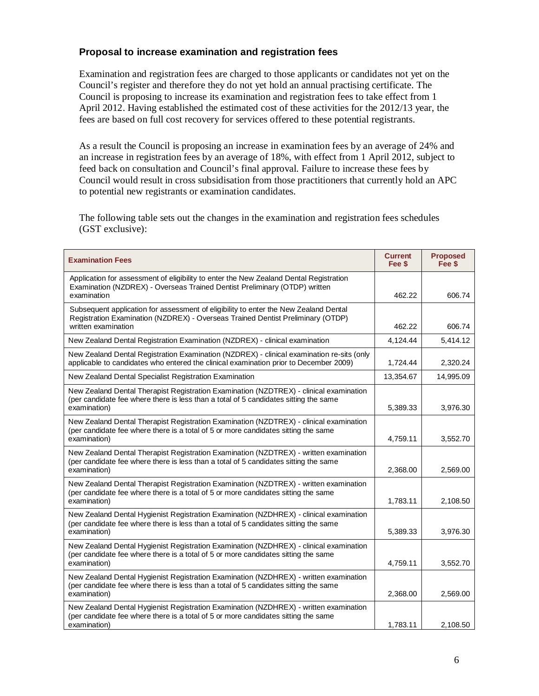#### **Proposal to increase examination and registration fees**

Examination and registration fees are charged to those applicants or candidates not yet on the Council's register and therefore they do not yet hold an annual practising certificate. The Council is proposing to increase its examination and registration fees to take effect from 1 April 2012. Having established the estimated cost of these activities for the 2012/13 year, the fees are based on full cost recovery for services offered to these potential registrants.

As a result the Council is proposing an increase in examination fees by an average of 24% and an increase in registration fees by an average of 18%, with effect from 1 April 2012, subject to feed back on consultation and Council's final approval. Failure to increase these fees by Council would result in cross subsidisation from those practitioners that currently hold an APC to potential new registrants or examination candidates.

The following table sets out the changes in the examination and registration fees schedules (GST exclusive):

| <b>Examination Fees</b>                                                                                                                                                                        | <b>Current</b><br>Fee \$ | <b>Proposed</b><br>Fee \$ |
|------------------------------------------------------------------------------------------------------------------------------------------------------------------------------------------------|--------------------------|---------------------------|
| Application for assessment of eligibility to enter the New Zealand Dental Registration<br>Examination (NZDREX) - Overseas Trained Dentist Preliminary (OTDP) written<br>examination            | 462.22                   | 606.74                    |
| Subsequent application for assessment of eligibility to enter the New Zealand Dental<br>Registration Examination (NZDREX) - Overseas Trained Dentist Preliminary (OTDP)<br>written examination | 462.22                   | 606.74                    |
| New Zealand Dental Registration Examination (NZDREX) - clinical examination                                                                                                                    | 4.124.44                 | 5.414.12                  |
| New Zealand Dental Registration Examination (NZDREX) - clinical examination re-sits (only<br>applicable to candidates who entered the clinical examination prior to December 2009)             | 1,724.44                 | 2,320.24                  |
| New Zealand Dental Specialist Registration Examination                                                                                                                                         | 13,354.67                | 14,995.09                 |
| New Zealand Dental Therapist Registration Examination (NZDTREX) - clinical examination<br>(per candidate fee where there is less than a total of 5 candidates sitting the same<br>examination) | 5,389.33                 | 3,976.30                  |
| New Zealand Dental Therapist Registration Examination (NZDTREX) - clinical examination<br>(per candidate fee where there is a total of 5 or more candidates sitting the same<br>examination)   | 4,759.11                 | 3,552.70                  |
| New Zealand Dental Therapist Registration Examination (NZDTREX) - written examination<br>(per candidate fee where there is less than a total of 5 candidates sitting the same<br>examination)  | 2,368.00                 | 2.569.00                  |
| New Zealand Dental Therapist Registration Examination (NZDTREX) - written examination<br>(per candidate fee where there is a total of 5 or more candidates sitting the same<br>examination)    | 1,783.11                 | 2.108.50                  |
| New Zealand Dental Hygienist Registration Examination (NZDHREX) - clinical examination<br>(per candidate fee where there is less than a total of 5 candidates sitting the same<br>examination) | 5,389.33                 | 3,976.30                  |
| New Zealand Dental Hygienist Registration Examination (NZDHREX) - clinical examination<br>(per candidate fee where there is a total of 5 or more candidates sitting the same<br>examination)   | 4,759.11                 | 3,552.70                  |
| New Zealand Dental Hygienist Registration Examination (NZDHREX) - written examination<br>(per candidate fee where there is less than a total of 5 candidates sitting the same<br>examination)  | 2,368.00                 | 2,569.00                  |
| New Zealand Dental Hygienist Registration Examination (NZDHREX) - written examination<br>(per candidate fee where there is a total of 5 or more candidates sitting the same<br>examination)    | 1,783.11                 | 2,108.50                  |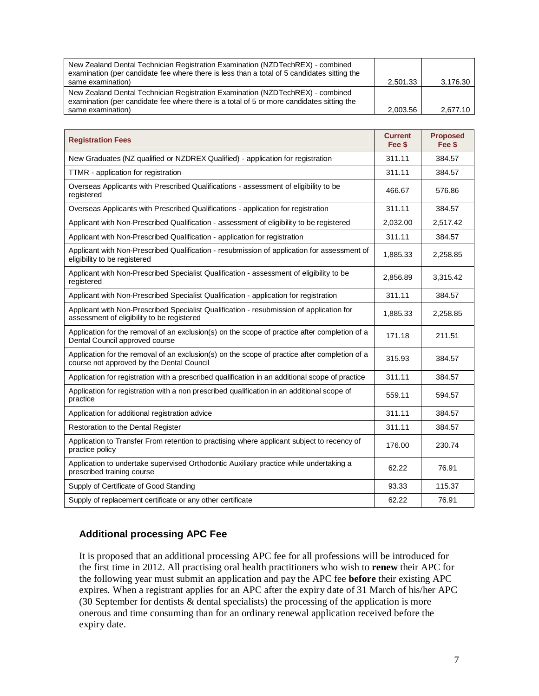| New Zealand Dental Technician Registration Examination (NZDTechREX) - combined<br>examination (per candidate fee where there is less than a total of 5 candidates sitting the |          |          |
|-------------------------------------------------------------------------------------------------------------------------------------------------------------------------------|----------|----------|
| same examination)                                                                                                                                                             | 2.501.33 | 3,176.30 |
| New Zealand Dental Technician Registration Examination (NZDTechREX) - combined<br>examination (per candidate fee where there is a total of 5 or more candidates sitting the   |          |          |
| same examination)                                                                                                                                                             | 2,003.56 | 2,677.10 |

| <b>Registration Fees</b>                                                                                                                   | <b>Current</b><br>Fee \$ | <b>Proposed</b><br>Fee \$ |
|--------------------------------------------------------------------------------------------------------------------------------------------|--------------------------|---------------------------|
| New Graduates (NZ qualified or NZDREX Qualified) - application for registration                                                            | 311.11                   | 384.57                    |
| TTMR - application for registration                                                                                                        | 311.11                   | 384.57                    |
| Overseas Applicants with Prescribed Qualifications - assessment of eligibility to be<br>registered                                         | 466.67                   | 576.86                    |
| Overseas Applicants with Prescribed Qualifications - application for registration                                                          | 311.11                   | 384.57                    |
| Applicant with Non-Prescribed Qualification - assessment of eligibility to be registered                                                   | 2,032.00                 | 2,517.42                  |
| Applicant with Non-Prescribed Qualification - application for registration                                                                 | 311.11                   | 384.57                    |
| Applicant with Non-Prescribed Qualification - resubmission of application for assessment of<br>eligibility to be registered                | 1,885.33                 | 2,258.85                  |
| Applicant with Non-Prescribed Specialist Qualification - assessment of eligibility to be<br>registered                                     | 2,856.89                 | 3,315.42                  |
| Applicant with Non-Prescribed Specialist Qualification - application for registration                                                      | 311.11                   | 384.57                    |
| Applicant with Non-Prescribed Specialist Qualification - resubmission of application for<br>assessment of eligibility to be registered     | 1,885.33                 | 2,258.85                  |
| Application for the removal of an exclusion(s) on the scope of practice after completion of a<br>Dental Council approved course            | 171.18                   | 211.51                    |
| Application for the removal of an exclusion(s) on the scope of practice after completion of a<br>course not approved by the Dental Council | 315.93                   | 384.57                    |
| Application for registration with a prescribed qualification in an additional scope of practice                                            | 311.11                   | 384.57                    |
| Application for registration with a non prescribed qualification in an additional scope of<br>practice                                     | 559.11                   | 594.57                    |
| Application for additional registration advice                                                                                             | 311.11                   | 384.57                    |
| Restoration to the Dental Register                                                                                                         | 311.11                   | 384.57                    |
| Application to Transfer From retention to practising where applicant subject to recency of<br>practice policy                              | 176.00                   | 230.74                    |
| Application to undertake supervised Orthodontic Auxiliary practice while undertaking a<br>prescribed training course                       | 62.22                    | 76.91                     |
| Supply of Certificate of Good Standing                                                                                                     | 93.33                    | 115.37                    |
| Supply of replacement certificate or any other certificate                                                                                 | 62.22                    | 76.91                     |

# **Additional processing APC Fee**

It is proposed that an additional processing APC fee for all professions will be introduced for the first time in 2012. All practising oral health practitioners who wish to **renew** their APC for the following year must submit an application and pay the APC fee **before** their existing APC expires. When a registrant applies for an APC after the expiry date of 31 March of his/her APC (30 September for dentists & dental specialists) the processing of the application is more onerous and time consuming than for an ordinary renewal application received before the expiry date.